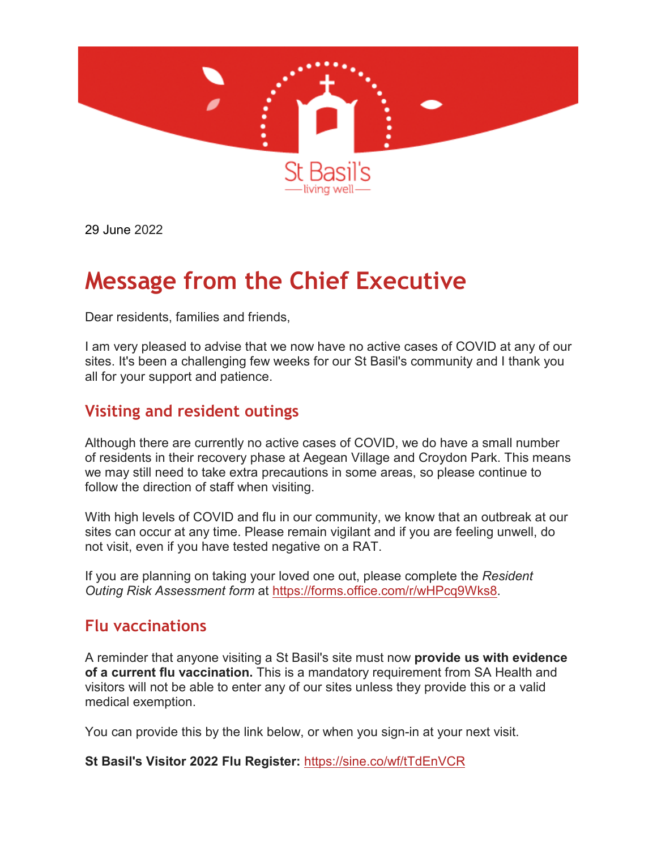

29 June 2022

# **Message from the Chief Executive**

Dear residents, families and friends,

I am very pleased to advise that we now have no active cases of COVID at any of our sites. It's been a challenging few weeks for our St Basil's community and I thank you all for your support and patience.

### **Visiting and resident outings**

Although there are currently no active cases of COVID, we do have a small number of residents in their recovery phase at Aegean Village and Croydon Park. This means we may still need to take extra precautions in some areas, so please continue to follow the direction of staff when visiting.

With high levels of COVID and flu in our community, we know that an outbreak at our sites can occur at any time. Please remain vigilant and if you are feeling unwell, do not visit, even if you have tested negative on a RAT.

If you are planning on taking your loved one out, please complete the *Resident Outing Risk Assessment form* at [https://forms.office.com/r/wHPcq9Wks8.](https://aus01.safelinks.protection.outlook.com/?url=https%3A%2F%2Fstbasils.us3.list-manage.com%2Ftrack%2Fclick%3Fu%3Dc3dc2f8241f0681b55fdf612f%26id%3D17a85abf21%26e%3D08fe8bb750&data=05%7C01%7Cnpearson%40stbasils.com.au%7Caa91b6004ebe4e8ff1e608da28e70c01%7C7d712ab676e947e296382fb2e0a1103d%7C0%7C0%7C637867270051537326%7CUnknown%7CTWFpbGZsb3d8eyJWIjoiMC4wLjAwMDAiLCJQIjoiV2luMzIiLCJBTiI6Ik1haWwiLCJXVCI6Mn0%3D%7C3000%7C%7C%7C&sdata=iEc6BuXPqC9lKAXmj8TVadTCokUhwa0Pkfj8msaF984%3D&reserved=0)

#### **Flu vaccinations**

A reminder that anyone visiting a St Basil's site must now **provide us with evidence of a current flu vaccination.** This is a mandatory requirement from SA Health and visitors will not be able to enter any of our sites unless they provide this or a valid medical exemption.

You can provide this by the link below, or when you sign-in at your next visit.

**St Basil's Visitor 2022 Flu Register:** [https://sine.co/wf/tTdEnVCR](https://aus01.safelinks.protection.outlook.com/?url=https%3A%2F%2Fstbasils.us3.list-manage.com%2Ftrack%2Fclick%3Fu%3Dc3dc2f8241f0681b55fdf612f%26id%3De397570249%26e%3D08fe8bb750&data=05%7C01%7Cnpearson%40stbasils.com.au%7C3a3156c2015841944bf808da4dd89742%7C7d712ab676e947e296382fb2e0a1103d%7C0%7C0%7C637907889899093481%7CUnknown%7CTWFpbGZsb3d8eyJWIjoiMC4wLjAwMDAiLCJQIjoiV2luMzIiLCJBTiI6Ik1haWwiLCJXVCI6Mn0%3D%7C3000%7C%7C%7C&sdata=K%2FzBuBRlNTOFwySrOiY31Nj%2B42XjSUgi1noshsk05SE%3D&reserved=0)